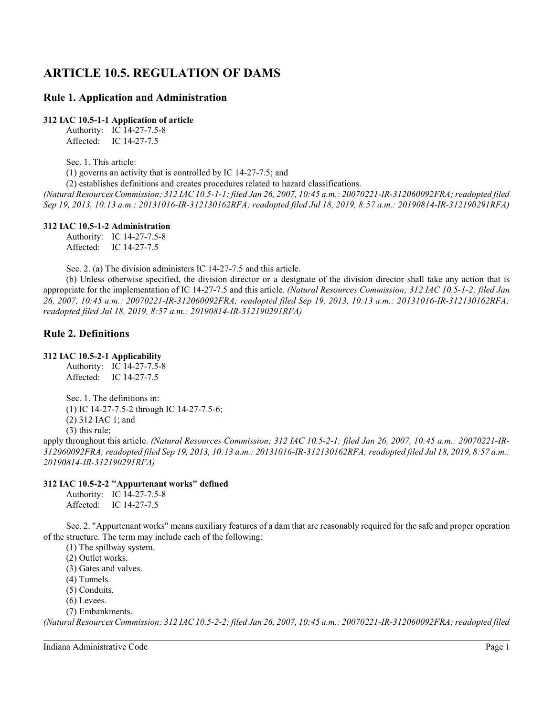# **ARTICLE 10.5. REGULATION OF DAMS**

# **Rule 1. Application and Administration**

**312 IAC 10.5-1-1 Application of article**

Authority: IC 14-27-7.5-8 Affected: IC 14-27-7.5

Sec. 1. This article:

(1) governs an activity that is controlled by IC 14-27-7.5; and

(2) establishes definitions and creates procedures related to hazard classifications.

*(Natural Resources Commission; 312 IAC 10.5-1-1; filed Jan 26, 2007, 10:45 a.m.: 20070221-IR-312060092FRA; readopted filed Sep 19, 2013, 10:13 a.m.: 20131016-IR-312130162RFA; readopted filed Jul 18, 2019, 8:57 a.m.: 20190814-IR-312190291RFA)*

#### **312 IAC 10.5-1-2 Administration**

Authority: IC 14-27-7.5-8 Affected: IC 14-27-7.5

Sec. 2. (a) The division administers IC 14-27-7.5 and this article.

(b) Unless otherwise specified, the division director or a designate of the division director shall take any action that is appropriate for the implementation of IC 14-27-7.5 and this article. *(Natural Resources Commission; 312 IAC 10.5-1-2; filed Jan 26, 2007, 10:45 a.m.: 20070221-IR-312060092FRA; readopted filed Sep 19, 2013, 10:13 a.m.: 20131016-IR-312130162RFA; readopted filed Jul 18, 2019, 8:57 a.m.: 20190814-IR-312190291RFA)*

# **Rule 2. Definitions**

# **312 IAC 10.5-2-1 Applicability**

Authority: IC 14-27-7.5-8 Affected: IC 14-27-7.5

Sec. 1. The definitions in: (1) IC 14-27-7.5-2 through IC 14-27-7.5-6; (2) 312 IAC 1; and (3) this rule;

apply throughout this article. *(Natural Resources Commission; 312 IAC 10.5-2-1; filed Jan 26, 2007, 10:45 a.m.: 20070221-IR-312060092FRA; readopted filed Sep 19, 2013, 10:13 a.m.: 20131016-IR-312130162RFA; readopted filed Jul 18, 2019, 8:57 a.m.: 20190814-IR-312190291RFA)*

# **312 IAC 10.5-2-2 "Appurtenant works" defined**

Authority: IC 14-27-7.5-8 Affected: IC 14-27-7.5

Sec. 2. "Appurtenant works" means auxiliary features of a dam that are reasonably required for the safe and proper operation of the structure. The term may include each of the following:

(1) The spillway system.

(2) Outlet works.

(3) Gates and valves.

(4) Tunnels.

(5) Conduits.

(6) Levees.

(7) Embankments.

*(Natural Resources Commission; 312 IAC 10.5-2-2; filed Jan 26, 2007, 10:45 a.m.: 20070221-IR-312060092FRA; readopted filed*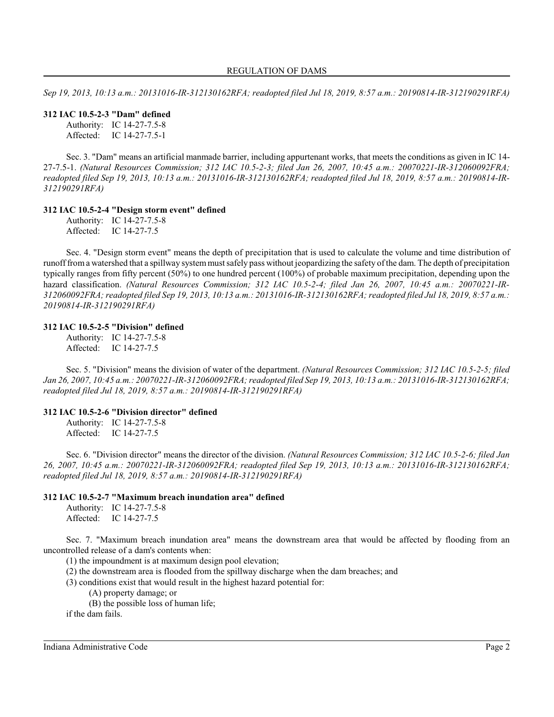*Sep 19, 2013, 10:13 a.m.: 20131016-IR-312130162RFA; readopted filed Jul 18, 2019, 8:57 a.m.: 20190814-IR-312190291RFA)*

#### **312 IAC 10.5-2-3 "Dam" defined**

Authority: IC 14-27-7.5-8 Affected: IC 14-27-7.5-1

Sec. 3. "Dam" means an artificial manmade barrier, including appurtenant works, that meets the conditions as given in IC 14- 27-7.5-1. *(Natural Resources Commission; 312 IAC 10.5-2-3; filed Jan 26, 2007, 10:45 a.m.: 20070221-IR-312060092FRA; readopted filed Sep 19, 2013, 10:13 a.m.: 20131016-IR-312130162RFA; readopted filed Jul 18, 2019, 8:57 a.m.: 20190814-IR-312190291RFA)*

#### **312 IAC 10.5-2-4 "Design storm event" defined**

Authority: IC 14-27-7.5-8 Affected: IC 14-27-7.5

Sec. 4. "Design storm event" means the depth of precipitation that is used to calculate the volume and time distribution of runofffroma watershed that a spillway systemmust safely pass without jeopardizing the safety ofthe dam. The depth of precipitation typically ranges from fifty percent (50%) to one hundred percent (100%) of probable maximum precipitation, depending upon the hazard classification. *(Natural Resources Commission; 312 IAC 10.5-2-4; filed Jan 26, 2007, 10:45 a.m.: 20070221-IR-312060092FRA; readopted filed Sep 19, 2013, 10:13 a.m.: 20131016-IR-312130162RFA; readopted filed Jul 18, 2019, 8:57 a.m.: 20190814-IR-312190291RFA)*

#### **312 IAC 10.5-2-5 "Division" defined**

Authority: IC 14-27-7.5-8 Affected: IC 14-27-7.5

Sec. 5. "Division" means the division of water of the department. *(Natural Resources Commission; 312 IAC 10.5-2-5; filed Jan 26, 2007, 10:45 a.m.: 20070221-IR-312060092FRA; readopted filed Sep 19, 2013, 10:13 a.m.: 20131016-IR-312130162RFA; readopted filed Jul 18, 2019, 8:57 a.m.: 20190814-IR-312190291RFA)*

#### **312 IAC 10.5-2-6 "Division director" defined**

Authority: IC 14-27-7.5-8 Affected: IC 14-27-7.5

Sec. 6. "Division director" means the director of the division. *(Natural Resources Commission; 312 IAC 10.5-2-6; filed Jan 26, 2007, 10:45 a.m.: 20070221-IR-312060092FRA; readopted filed Sep 19, 2013, 10:13 a.m.: 20131016-IR-312130162RFA; readopted filed Jul 18, 2019, 8:57 a.m.: 20190814-IR-312190291RFA)*

#### **312 IAC 10.5-2-7 "Maximum breach inundation area" defined**

Authority: IC 14-27-7.5-8 Affected: IC 14-27-7.5

Sec. 7. "Maximum breach inundation area" means the downstream area that would be affected by flooding from an uncontrolled release of a dam's contents when:

(1) the impoundment is at maximum design pool elevation;

(2) the downstream area is flooded from the spillway discharge when the dam breaches; and

(3) conditions exist that would result in the highest hazard potential for:

(A) property damage; or

(B) the possible loss of human life;

if the dam fails.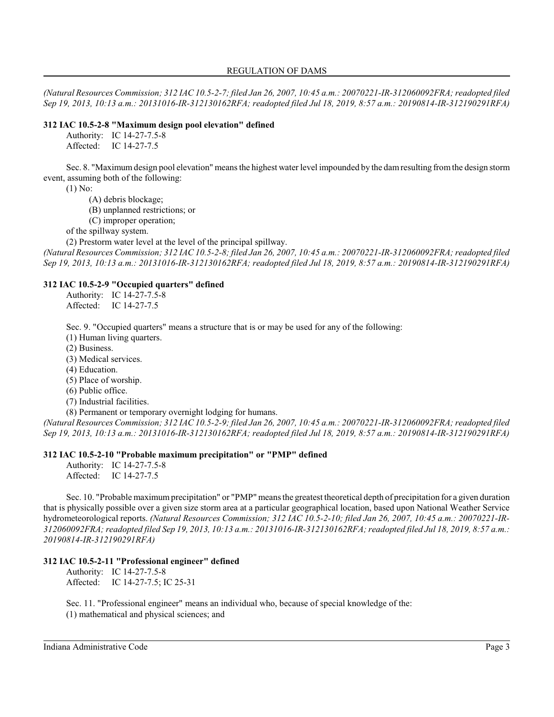#### REGULATION OF DAMS

*(Natural Resources Commission; 312 IAC 10.5-2-7; filed Jan 26, 2007, 10:45 a.m.: 20070221-IR-312060092FRA; readopted filed Sep 19, 2013, 10:13 a.m.: 20131016-IR-312130162RFA; readopted filed Jul 18, 2019, 8:57 a.m.: 20190814-IR-312190291RFA)*

## **312 IAC 10.5-2-8 "Maximum design pool elevation" defined**

Authority: IC 14-27-7.5-8

Affected: IC 14-27-7.5

Sec. 8. "Maximumdesign pool elevation" means the highest water level impounded by the damresulting fromthe design storm event, assuming both of the following:

(1) No:

(A) debris blockage;

(B) unplanned restrictions; or

(C) improper operation;

of the spillway system.

(2) Prestorm water level at the level of the principal spillway.

*(Natural Resources Commission; 312 IAC 10.5-2-8; filed Jan 26, 2007, 10:45 a.m.: 20070221-IR-312060092FRA; readopted filed Sep 19, 2013, 10:13 a.m.: 20131016-IR-312130162RFA; readopted filed Jul 18, 2019, 8:57 a.m.: 20190814-IR-312190291RFA)*

#### **312 IAC 10.5-2-9 "Occupied quarters" defined**

Authority: IC 14-27-7.5-8 Affected: IC 14-27-7.5

Sec. 9. "Occupied quarters" means a structure that is or may be used for any of the following:

(1) Human living quarters.

(2) Business.

(3) Medical services.

(4) Education.

(5) Place of worship.

(6) Public office.

(7) Industrial facilities.

(8) Permanent or temporary overnight lodging for humans.

*(Natural Resources Commission; 312 IAC 10.5-2-9; filed Jan 26, 2007, 10:45 a.m.: 20070221-IR-312060092FRA; readopted filed Sep 19, 2013, 10:13 a.m.: 20131016-IR-312130162RFA; readopted filed Jul 18, 2019, 8:57 a.m.: 20190814-IR-312190291RFA)*

#### **312 IAC 10.5-2-10 "Probable maximum precipitation" or "PMP" defined**

Authority: IC 14-27-7.5-8 Affected: IC 14-27-7.5

Sec. 10. "Probable maximumprecipitation" or "PMP" means the greatest theoretical depth of precipitation for a given duration that is physically possible over a given size storm area at a particular geographical location, based upon National Weather Service hydrometeorological reports. *(Natural Resources Commission; 312 IAC 10.5-2-10; filed Jan 26, 2007, 10:45 a.m.: 20070221-IR-312060092FRA; readopted filed Sep 19, 2013, 10:13 a.m.: 20131016-IR-312130162RFA; readopted filed Jul 18, 2019, 8:57 a.m.: 20190814-IR-312190291RFA)*

# **312 IAC 10.5-2-11 "Professional engineer" defined**

Authority: IC 14-27-7.5-8 Affected: IC 14-27-7.5; IC 25-31

Sec. 11. "Professional engineer" means an individual who, because of special knowledge of the: (1) mathematical and physical sciences; and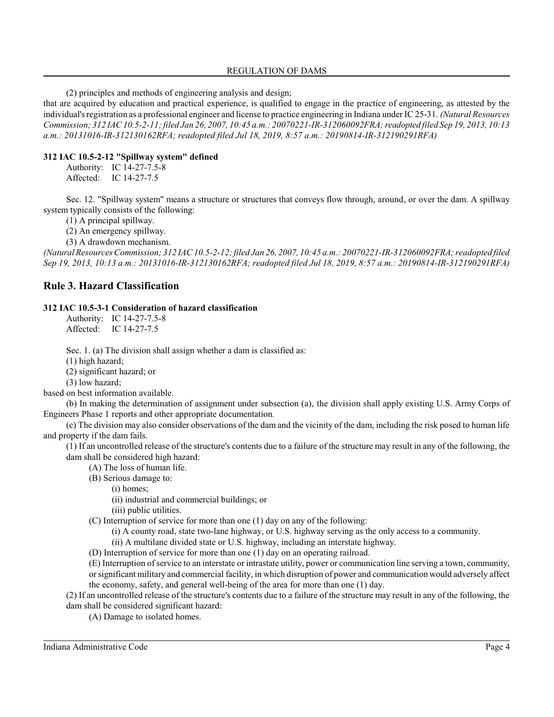## REGULATION OF DAMS

(2) principles and methods of engineering analysis and design;

that are acquired by education and practical experience, is qualified to engage in the practice of engineering, as attested by the individual's registration as a professional engineer and license to practice engineering in Indiana under IC 25-31. *(Natural Resources Commission; 312 IAC 10.5-2-11; filed Jan 26, 2007, 10:45 a.m.: 20070221-IR-312060092FRA; readopted filed Sep 19, 2013, 10:13 a.m.: 20131016-IR-312130162RFA; readopted filed Jul 18, 2019, 8:57 a.m.: 20190814-IR-312190291RFA)*

# **312 IAC 10.5-2-12 "Spillway system" defined**

Authority: IC 14-27-7.5-8 Affected: IC 14-27-7.5

Sec. 12. "Spillway system" means a structure or structures that conveys flow through, around, or over the dam. A spillway system typically consists of the following:

(1) A principal spillway.

(2) An emergency spillway.

(3) A drawdown mechanism.

*(Natural Resources Commission; 312 IAC 10.5-2-12; filed Jan 26, 2007, 10:45 a.m.: 20070221-IR-312060092FRA; readopted filed Sep 19, 2013, 10:13 a.m.: 20131016-IR-312130162RFA; readopted filed Jul 18, 2019, 8:57 a.m.: 20190814-IR-312190291RFA)*

# **Rule 3. Hazard Classification**

#### **312 IAC 10.5-3-1 Consideration of hazard classification**

Authority: IC 14-27-7.5-8 Affected: IC 14-27-7.5

Sec. 1. (a) The division shall assign whether a dam is classified as:

(1) high hazard;

(2) significant hazard; or

(3) low hazard;

based on best information available.

(b) In making the determination of assignment under subsection (a), the division shall apply existing U.S. Army Corps of Engineers Phase 1 reports and other appropriate documentation.

(c) The division may also consider observations of the dam and the vicinity of the dam, including the risk posed to human life and property if the dam fails.

(1) If an uncontrolled release of the structure's contents due to a failure of the structure may result in any of the following, the dam shall be considered high hazard:

(A) The loss of human life.

(B) Serious damage to:

(i) homes;

(ii) industrial and commercial buildings; or

(iii) public utilities.

(C) Interruption of service for more than one (1) day on any of the following:

(i) A county road, state two-lane highway, or U.S. highway serving as the only access to a community.

(ii) A multilane divided state or U.S. highway, including an interstate highway.

(D) Interruption of service for more than one (1) day on an operating railroad.

(E) Interruption ofservice to an interstate or intrastate utility, power or communication line serving a town, community, or significant military and commercial facility, in which disruption of power and communication would adversely affect the economy, safety, and general well-being of the area for more than one (1) day.

(2) If an uncontrolled release of the structure's contents due to a failure of the structure may result in any of the following, the dam shall be considered significant hazard:

(A) Damage to isolated homes.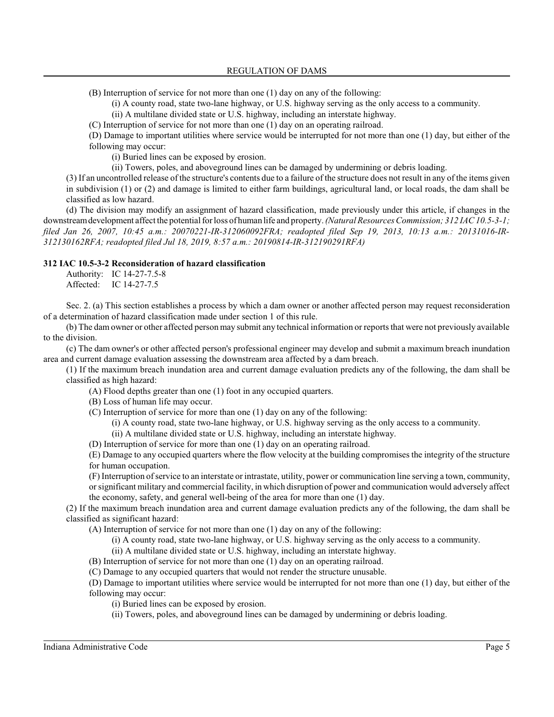(B) Interruption of service for not more than one (1) day on any of the following:

(i) A county road, state two-lane highway, or U.S. highway serving as the only access to a community.

(ii) A multilane divided state or U.S. highway, including an interstate highway.

(C) Interruption of service for not more than one (1) day on an operating railroad.

(D) Damage to important utilities where service would be interrupted for not more than one (1) day, but either of the following may occur:

(i) Buried lines can be exposed by erosion.

(ii) Towers, poles, and aboveground lines can be damaged by undermining or debris loading.

(3) If an uncontrolled release of the structure's contents due to a failure of the structure does not result in any of the items given in subdivision (1) or (2) and damage is limited to either farm buildings, agricultural land, or local roads, the dam shall be classified as low hazard.

(d) The division may modify an assignment of hazard classification, made previously under this article, if changes in the downstreamdevelopment affect the potential for loss of human life and property. *(Natural Resources Commission; 312 IAC 10.5-3-1; filed Jan 26, 2007, 10:45 a.m.: 20070221-IR-312060092FRA; readopted filed Sep 19, 2013, 10:13 a.m.: 20131016-IR-312130162RFA; readopted filed Jul 18, 2019, 8:57 a.m.: 20190814-IR-312190291RFA)*

#### **312 IAC 10.5-3-2 Reconsideration of hazard classification**

Authority: IC 14-27-7.5-8 Affected: IC 14-27-7.5

Sec. 2. (a) This section establishes a process by which a dam owner or another affected person may request reconsideration of a determination of hazard classification made under section 1 of this rule.

(b) The damowner or other affected person may submit any technical information or reports that were not previously available to the division.

(c) The dam owner's or other affected person's professional engineer may develop and submit a maximum breach inundation area and current damage evaluation assessing the downstream area affected by a dam breach.

(1) If the maximum breach inundation area and current damage evaluation predicts any of the following, the dam shall be classified as high hazard:

(A) Flood depths greater than one (1) foot in any occupied quarters.

(B) Loss of human life may occur.

(C) Interruption of service for more than one (1) day on any of the following:

(i) A county road, state two-lane highway, or U.S. highway serving as the only access to a community.

(ii) A multilane divided state or U.S. highway, including an interstate highway.

(D) Interruption of service for more than one (1) day on an operating railroad.

(E) Damage to any occupied quarters where the flow velocity at the building compromises the integrity of the structure for human occupation.

(F) Interruption ofservice to an interstate or intrastate, utility, power or communication line serving a town, community, or significant military and commercial facility, in which disruption of power and communication would adversely affect the economy, safety, and general well-being of the area for more than one (1) day.

(2) If the maximum breach inundation area and current damage evaluation predicts any of the following, the dam shall be classified as significant hazard:

(A) Interruption of service for not more than one (1) day on any of the following:

(i) A county road, state two-lane highway, or U.S. highway serving as the only access to a community.

(ii) A multilane divided state or U.S. highway, including an interstate highway.

(B) Interruption of service for not more than one (1) day on an operating railroad.

(C) Damage to any occupied quarters that would not render the structure unusable.

(D) Damage to important utilities where service would be interrupted for not more than one (1) day, but either of the following may occur:

- (i) Buried lines can be exposed by erosion.
- (ii) Towers, poles, and aboveground lines can be damaged by undermining or debris loading.